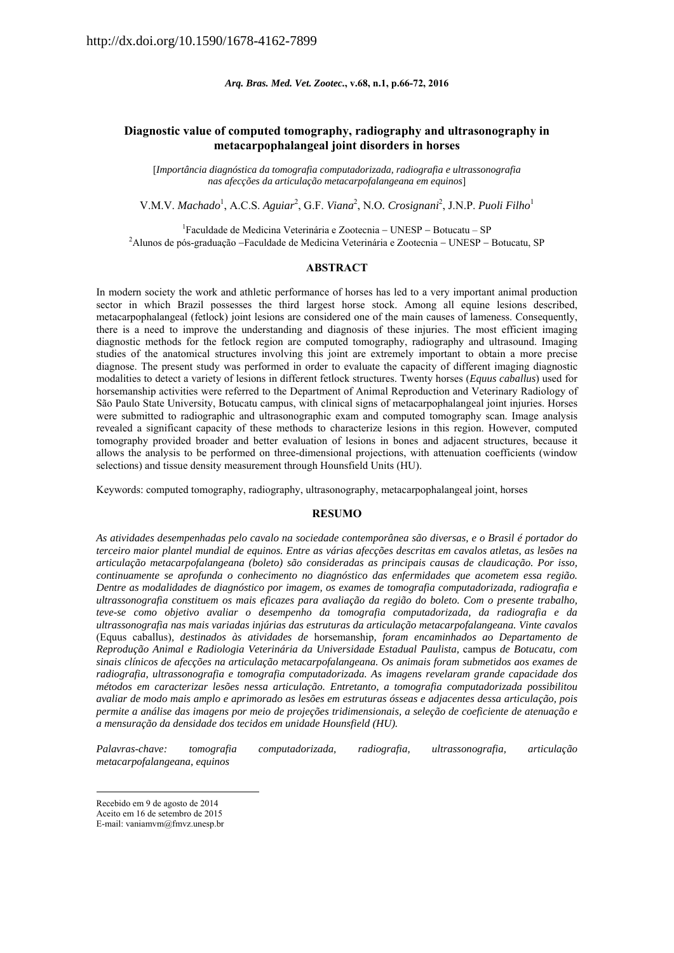*Arq. Bras. Med. Vet. Zootec.***, v.68, n.1, p.66-72, 2016** 

# **Diagnostic value of computed tomography, radiography and ultrasonography in metacarpophalangeal joint disorders in horses**

[*Importância diagnóstica da tomografia computadorizada, radiografia e ultrassonografia nas afecções da articulação metacarpofalangeana em equinos*]

V.M.V. *Machado*<sup>1</sup>, A.C.S. *Aguiar*<sup>2</sup>, G.F. *Viana*<sup>2</sup>, N.O. *Crosignani*<sup>2</sup>, J.N.P. *Puoli Filho*<sup>1</sup>

<sup>1</sup> Faculdade de Medicina Veterinária e Zootecnia – UNESP – Botucatu – SP<br><sup>2</sup> Alunes de nés graduação - Faculdade de Medicina Veterinária e Zootecnia - UNESP  ${}^{2}$ Alunos de pós-graduação --Faculdade de Medicina Veterinária e Zootecnia -- UNESP -- Botucatu, SP

### **ABSTRACT**

In modern society the work and athletic performance of horses has led to a very important animal production sector in which Brazil possesses the third largest horse stock. Among all equine lesions described, metacarpophalangeal (fetlock) joint lesions are considered one of the main causes of lameness. Consequently, there is a need to improve the understanding and diagnosis of these injuries. The most efficient imaging diagnostic methods for the fetlock region are computed tomography, radiography and ultrasound. Imaging studies of the anatomical structures involving this joint are extremely important to obtain a more precise diagnose. The present study was performed in order to evaluate the capacity of different imaging diagnostic modalities to detect a variety of lesions in different fetlock structures. Twenty horses (*Equus caballus*) used for horsemanship activities were referred to the Department of Animal Reproduction and Veterinary Radiology of São Paulo State University, Botucatu campus, with clinical signs of metacarpophalangeal joint injuries. Horses were submitted to radiographic and ultrasonographic exam and computed tomography scan. Image analysis revealed a significant capacity of these methods to characterize lesions in this region. However, computed tomography provided broader and better evaluation of lesions in bones and adjacent structures, because it allows the analysis to be performed on three-dimensional projections, with attenuation coefficients (window selections) and tissue density measurement through Hounsfield Units (HU).

Keywords: computed tomography, radiography, ultrasonography, metacarpophalangeal joint, horses

#### **RESUMO**

*As atividades desempenhadas pelo cavalo na sociedade contemporânea são diversas, e o Brasil é portador do terceiro maior plantel mundial de equinos. Entre as várias afecções descritas em cavalos atletas, as lesões na articulação metacarpofalangeana (boleto) são consideradas as principais causas de claudicação. Por isso, continuamente se aprofunda o conhecimento no diagnóstico das enfermidades que acometem essa região. Dentre as modalidades de diagnóstico por imagem, os exames de tomografia computadorizada, radiografia e ultrassonografia constituem os mais eficazes para avaliação da região do boleto. Com o presente trabalho, teve-se como objetivo avaliar o desempenho da tomografia computadorizada, da radiografia e da ultrassonografia nas mais variadas injúrias das estruturas da articulação metacarpofalangeana. Vinte cavalos*  (Equus caballus)*, destinados às atividades de* horsemanship*, foram encaminhados ao Departamento de Reprodução Animal e Radiologia Veterinária da Universidade Estadual Paulista,* campus *de Botucatu, com sinais clínicos de afecções na articulação metacarpofalangeana. Os animais foram submetidos aos exames de radiografia, ultrassonografia e tomografia computadorizada. As imagens revelaram grande capacidade dos métodos em caracterizar lesões nessa articulação. Entretanto, a tomografia computadorizada possibilitou avaliar de modo mais amplo e aprimorado as lesões em estruturas ósseas e adjacentes dessa articulação, pois permite a análise das imagens por meio de projeções tridimensionais, a seleção de coeficiente de atenuação e a mensuração da densidade dos tecidos em unidade Hounsfield (HU).* 

*Palavras-chave: tomografia computadorizada, radiografia, ultrassonografia, articulação metacarpofalangeana, equinos*

Recebido em 9 de agosto de 2014

Aceito em 16 de setembro de 2015

E-mail: vaniamvm@fmvz.unesp.br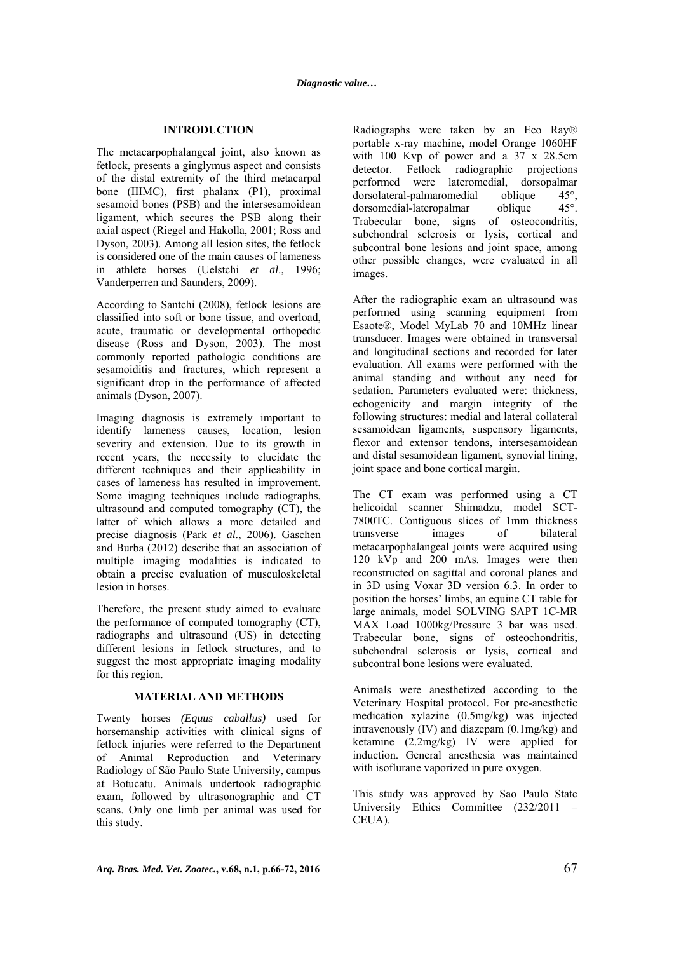### **INTRODUCTION**

The metacarpophalangeal joint, also known as fetlock, presents a ginglymus aspect and consists of the distal extremity of the third metacarpal bone (IIIMC), first phalanx (P1), proximal sesamoid bones (PSB) and the intersesamoidean ligament, which secures the PSB along their axial aspect (Riegel and Hakolla, 2001; Ross and Dyson, 2003). Among all lesion sites, the fetlock is considered one of the main causes of lameness in athlete horses (Uelstchi *et al*., 1996; Vanderperren and Saunders, 2009).

According to Santchi (2008), fetlock lesions are classified into soft or bone tissue, and overload, acute, traumatic or developmental orthopedic disease (Ross and Dyson, 2003). The most commonly reported pathologic conditions are sesamoiditis and fractures, which represent a significant drop in the performance of affected animals (Dyson, 2007).

Imaging diagnosis is extremely important to identify lameness causes, location, lesion severity and extension. Due to its growth in recent years, the necessity to elucidate the different techniques and their applicability in cases of lameness has resulted in improvement. Some imaging techniques include radiographs, ultrasound and computed tomography (CT), the latter of which allows a more detailed and precise diagnosis (Park *et al*., 2006). Gaschen and Burba (2012) describe that an association of multiple imaging modalities is indicated to obtain a precise evaluation of musculoskeletal lesion in horses.

Therefore, the present study aimed to evaluate the performance of computed tomography (CT), radiographs and ultrasound (US) in detecting different lesions in fetlock structures, and to suggest the most appropriate imaging modality for this region.

#### **MATERIAL AND METHODS**

Twenty horses *(Equus caballus)* used for horsemanship activities with clinical signs of fetlock injuries were referred to the Department of Animal Reproduction and Veterinary Radiology of São Paulo State University, campus at Botucatu. Animals undertook radiographic exam, followed by ultrasonographic and CT scans. Only one limb per animal was used for this study.

Radiographs were taken by an Eco Ray® portable x-ray machine, model Orange 1060HF with 100 Kyp of power and a 37 x 28.5cm detector. Fetlock radiographic projections performed were lateromedial, dorsopalmar dorsolateral-palmaromedial oblique 45°,<br>dorsomedial-lateropalmar oblique 45°. dorsomedial-lateropalmar oblique Trabecular bone, signs of osteocondritis, subchondral sclerosis or lysis, cortical and subcontral bone lesions and joint space, among other possible changes, were evaluated in all images.

After the radiographic exam an ultrasound was performed using scanning equipment from Esaote®, Model MyLab 70 and 10MHz linear transducer. Images were obtained in transversal and longitudinal sections and recorded for later evaluation. All exams were performed with the animal standing and without any need for sedation. Parameters evaluated were: thickness, echogenicity and margin integrity of the following structures: medial and lateral collateral sesamoidean ligaments, suspensory ligaments, flexor and extensor tendons, intersesamoidean and distal sesamoidean ligament, synovial lining, joint space and bone cortical margin.

The CT exam was performed using a CT helicoidal scanner Shimadzu, model SCT-7800TC. Contiguous slices of 1mm thickness transverse images of bilateral metacarpophalangeal joints were acquired using 120 kVp and 200 mAs. Images were then reconstructed on sagittal and coronal planes and in 3D using Voxar 3D version 6.3. In order to position the horses' limbs, an equine CT table for large animals, model SOLVING SAPT 1C-MR MAX Load 1000kg/Pressure 3 bar was used. Trabecular bone, signs of osteochondritis, subchondral sclerosis or lysis, cortical and subcontral bone lesions were evaluated.

Animals were anesthetized according to the Veterinary Hospital protocol. For pre-anesthetic medication xylazine (0.5mg/kg) was injected intravenously (IV) and diazepam (0.1mg/kg) and ketamine (2.2mg/kg) IV were applied for induction. General anesthesia was maintained with isoflurane vaporized in pure oxygen.

This study was approved by Sao Paulo State University Ethics Committee (232/2011 – CEUA).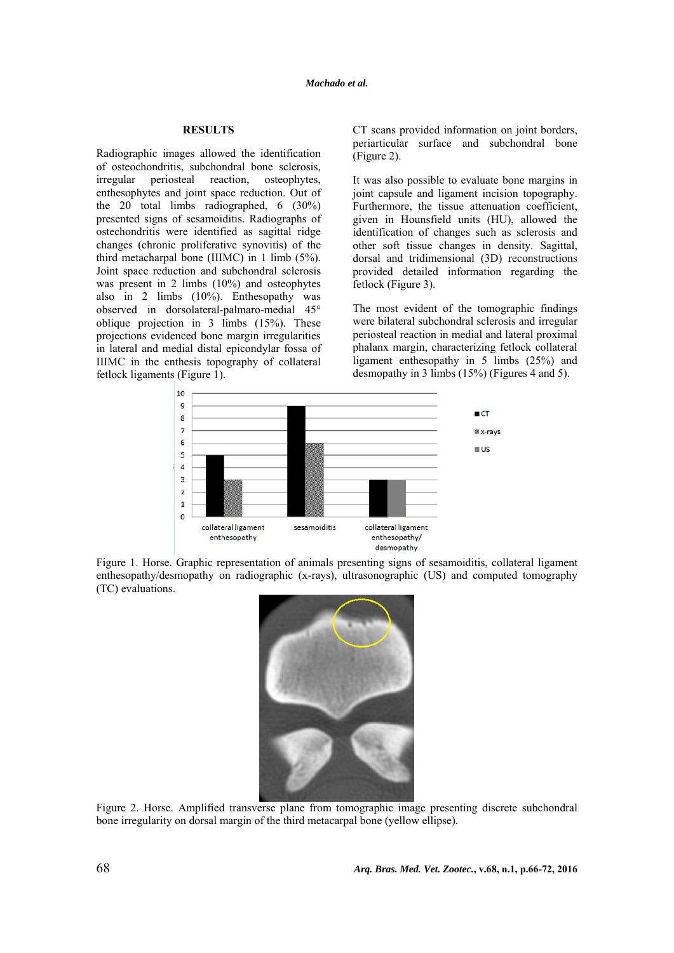### *Machado et al.*

### **RESULTS**

Radiographic images allowed the identification of osteochondritis, subchondral bone sclerosis, irregular periosteal reaction, osteophytes, enthesophytes and joint space reduction. Out of the 20 total limbs radiographed, 6 (30%) presented signs of sesamoiditis. Radiographs of ostechondritis were identified as sagittal ridge changes (chronic proliferative synovitis) of the third metacharpal bone (IIIMC) in 1 limb (5%). Joint space reduction and subchondral sclerosis was present in 2 limbs (10%) and osteophytes also in 2 limbs (10%). Enthesopathy was observed in dorsolateral-palmaro-medial 45° oblique projection in 3 limbs (15%). These projections evidenced bone margin irregularities in lateral and medial distal epicondylar fossa of IIIMC in the enthesis topography of collateral fetlock ligaments (Figure 1).

CT scans provided information on joint borders, periarticular surface and subchondral bone (Figure 2).

It was also possible to evaluate bone margins in joint capsule and ligament incision topography. Furthermore, the tissue attenuation coefficient, given in Hounsfield units (HU), allowed the identification of changes such as sclerosis and other soft tissue changes in density. Sagittal, dorsal and tridimensional (3D) reconstructions provided detailed information regarding the fetlock (Figure 3).

The most evident of the tomographic findings were bilateral subchondral sclerosis and irregular periosteal reaction in medial and lateral proximal phalanx margin, characterizing fetlock collateral ligament enthesopathy in 5 limbs (25%) and desmopathy in 3 limbs (15%) (Figures 4 and 5).



Figure 1. Horse. Graphic representation of animals presenting signs of sesamoiditis, collateral ligament enthesopathy/desmopathy on radiographic (x-rays), ultrasonographic (US) and computed tomography (TC) evaluations.



Figure 2. Horse. Amplified transverse plane from tomographic image presenting discrete subchondral bone irregularity on dorsal margin of the third metacarpal bone (yellow ellipse).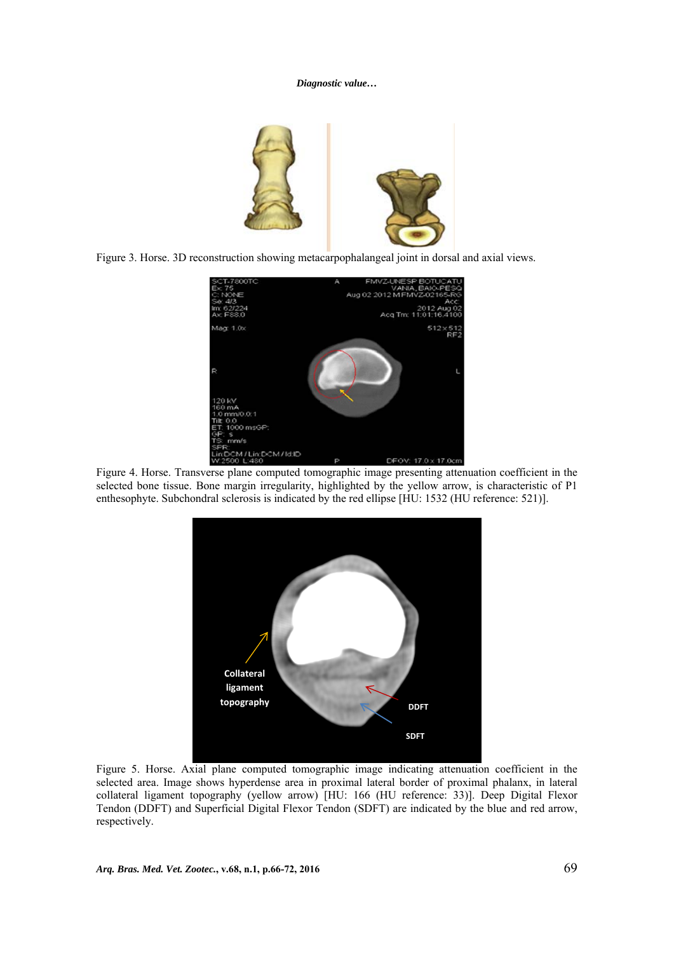# *Diagnostic value…*



Figure 3. Horse. 3D reconstruction showing metacarpophalangeal joint in dorsal and axial views.



Figure 4. Horse. Transverse plane computed tomographic image presenting attenuation coefficient in the selected bone tissue. Bone margin irregularity, highlighted by the yellow arrow, is characteristic of P1 enthesophyte. Subchondral sclerosis is indicated by the red ellipse [HU: 1532 (HU reference: 521)].



Figure 5. Horse. Axial plane computed tomographic image indicating attenuation coefficient in the selected area. Image shows hyperdense area in proximal lateral border of proximal phalanx, in lateral collateral ligament topography (yellow arrow) [HU: 166 (HU reference: 33)]. Deep Digital Flexor Tendon (DDFT) and Superficial Digital Flexor Tendon (SDFT) are indicated by the blue and red arrow, respectively.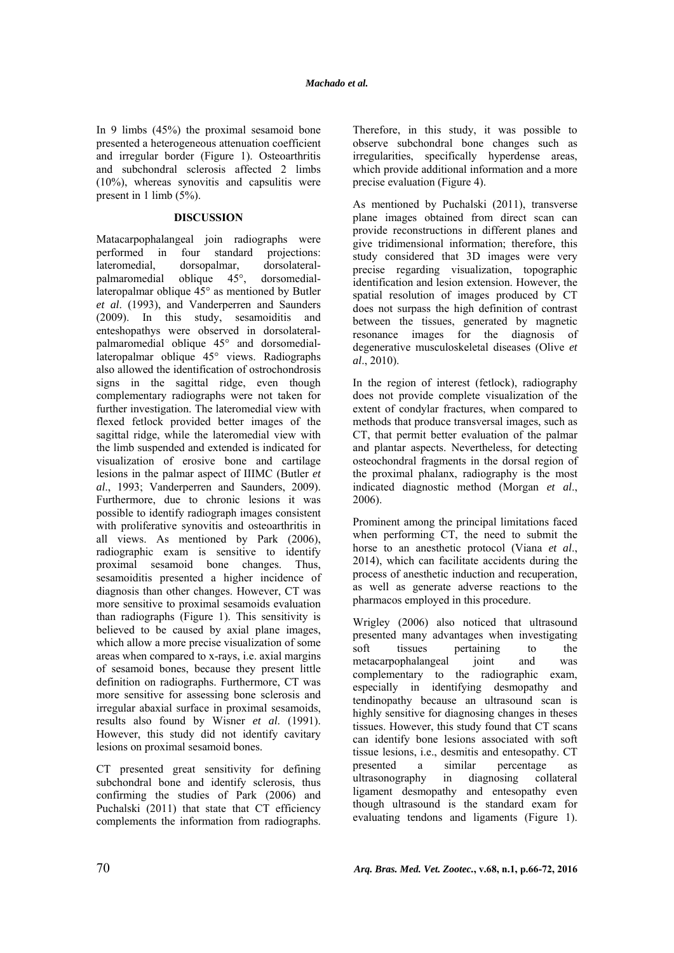In 9 limbs (45%) the proximal sesamoid bone presented a heterogeneous attenuation coefficient and irregular border (Figure 1). Osteoarthritis and subchondral sclerosis affected 2 limbs (10%), whereas synovitis and capsulitis were present in 1 limb (5%).

## **DISCUSSION**

Matacarpophalangeal join radiographs were performed in four standard projections: lateromedial, dorsopalmar, dorsolateralpalmaromedial oblique 45°, dorsomediallateropalmar oblique 45° as mentioned by Butler *et al*. (1993), and Vanderperren and Saunders (2009). In this study, sesamoiditis and enteshopathys were observed in dorsolateralpalmaromedial oblique 45° and dorsomediallateropalmar oblique 45° views. Radiographs also allowed the identification of ostrochondrosis signs in the sagittal ridge, even though complementary radiographs were not taken for further investigation. The lateromedial view with flexed fetlock provided better images of the sagittal ridge, while the lateromedial view with the limb suspended and extended is indicated for visualization of erosive bone and cartilage lesions in the palmar aspect of IIIMC (Butler *et al*., 1993; Vanderperren and Saunders, 2009). Furthermore, due to chronic lesions it was possible to identify radiograph images consistent with proliferative synovitis and osteoarthritis in all views. As mentioned by Park (2006), radiographic exam is sensitive to identify proximal sesamoid bone changes. Thus, sesamoiditis presented a higher incidence of diagnosis than other changes. However, CT was more sensitive to proximal sesamoids evaluation than radiographs (Figure 1). This sensitivity is believed to be caused by axial plane images, which allow a more precise visualization of some areas when compared to x-rays, i.e. axial margins of sesamoid bones, because they present little definition on radiographs. Furthermore, CT was more sensitive for assessing bone sclerosis and irregular abaxial surface in proximal sesamoids, results also found by Wisner *et al*. (1991). However, this study did not identify cavitary lesions on proximal sesamoid bones.

CT presented great sensitivity for defining subchondral bone and identify sclerosis, thus confirming the studies of Park (2006) and Puchalski (2011) that state that CT efficiency complements the information from radiographs. Therefore, in this study, it was possible to observe subchondral bone changes such as irregularities, specifically hyperdense areas, which provide additional information and a more precise evaluation (Figure 4).

As mentioned by Puchalski (2011), transverse plane images obtained from direct scan can provide reconstructions in different planes and give tridimensional information; therefore, this study considered that 3D images were very precise regarding visualization, topographic identification and lesion extension. However, the spatial resolution of images produced by CT does not surpass the high definition of contrast between the tissues, generated by magnetic resonance images for the diagnosis of degenerative musculoskeletal diseases (Olive *et al*., 2010).

In the region of interest (fetlock), radiography does not provide complete visualization of the extent of condylar fractures, when compared to methods that produce transversal images, such as CT, that permit better evaluation of the palmar and plantar aspects. Nevertheless, for detecting osteochondral fragments in the dorsal region of the proximal phalanx, radiography is the most indicated diagnostic method (Morgan *et al*., 2006).

Prominent among the principal limitations faced when performing CT, the need to submit the horse to an anesthetic protocol (Viana *et al*., 2014), which can facilitate accidents during the process of anesthetic induction and recuperation, as well as generate adverse reactions to the pharmacos employed in this procedure.

Wrigley (2006) also noticed that ultrasound presented many advantages when investigating soft tissues pertaining to the metacarpophalangeal joint and was complementary to the radiographic exam, especially in identifying desmopathy and tendinopathy because an ultrasound scan is highly sensitive for diagnosing changes in theses tissues. However, this study found that CT scans can identify bone lesions associated with soft tissue lesions, i.e., desmitis and entesopathy. CT presented a similar percentage as ultrasonography in diagnosing collateral ligament desmopathy and entesopathy even though ultrasound is the standard exam for evaluating tendons and ligaments (Figure 1).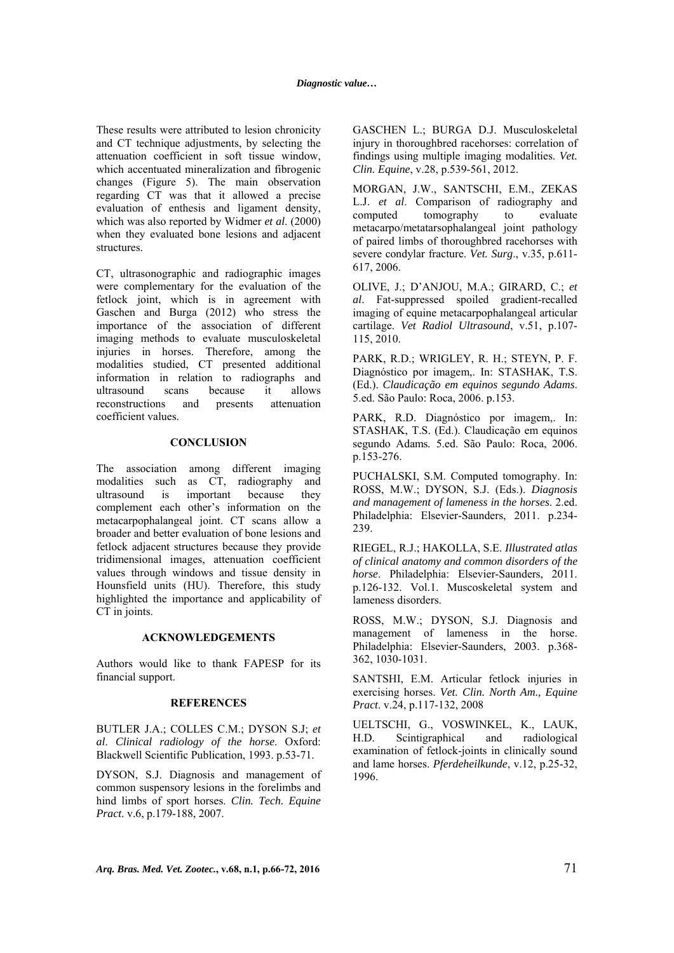These results were attributed to lesion chronicity and CT technique adjustments, by selecting the attenuation coefficient in soft tissue window, which accentuated mineralization and fibrogenic changes (Figure 5). The main observation regarding CT was that it allowed a precise evaluation of enthesis and ligament density, which was also reported by Widmer *et al*. (2000) when they evaluated bone lesions and adjacent structures.

CT, ultrasonographic and radiographic images were complementary for the evaluation of the fetlock joint, which is in agreement with Gaschen and Burga (2012) who stress the importance of the association of different imaging methods to evaluate musculoskeletal injuries in horses. Therefore, among the modalities studied, CT presented additional information in relation to radiographs and ultrasound scans because it allows reconstructions and presents attenuation coefficient values.

### **CONCLUSION**

The association among different imaging modalities such as CT, radiography and ultrasound is important because they complement each other's information on the metacarpophalangeal joint. CT scans allow a broader and better evaluation of bone lesions and fetlock adjacent structures because they provide tridimensional images, attenuation coefficient values through windows and tissue density in Hounsfield units (HU). Therefore, this study highlighted the importance and applicability of CT in joints.

#### **ACKNOWLEDGEMENTS**

Authors would like to thank FAPESP for its financial support.

### **REFERENCES**

BUTLER J.A.; COLLES C.M.; DYSON S.J; *et al*. *Clinical radiology of the horse*. Oxford: Blackwell Scientific Publication, 1993. p.53-71.

DYSON, S.J. Diagnosis and management of common suspensory lesions in the forelimbs and hind limbs of sport horses. *Clin. Tech. Equine Pract*. v.6, p.179-188, 2007.

GASCHEN L.; BURGA D.J. Musculoskeletal injury in thoroughbred racehorses: correlation of findings using multiple imaging modalities. *Vet. Clin. Equine*, v.28, p.539-561, 2012.

MORGAN, J.W., SANTSCHI, E.M., ZEKAS L.J. *et al*. Comparison of radiography and computed tomography to evaluate metacarpo/metatarsophalangeal joint pathology of paired limbs of thoroughbred racehorses with severe condylar fracture. *Vet. Surg*., v.35, p.611- 617, 2006.

OLIVE, J.; D'ANJOU, M.A.; GIRARD, C.; *et al*. Fat-suppressed spoiled gradient-recalled imaging of equine metacarpophalangeal articular cartilage. *Vet Radiol Ultrasound*, v.51, p.107- 115, 2010.

PARK, R.D.; WRIGLEY, R. H.; STEYN, P. F. Diagnóstico por imagem,. In: STASHAK, T.S. (Ed.). *Claudicação em equinos segundo Adams*. 5.ed. São Paulo: Roca, 2006. p.153.

PARK, R.D. Diagnóstico por imagem,. In: STASHAK, T.S. (Ed.). Claudicação em equinos segundo Adams*.* 5.ed. São Paulo: Roca, 2006. p.153-276.

PUCHALSKI, S.M. Computed tomography. In: ROSS, M.W.; DYSON, S.J. (Eds.). *Diagnosis and management of lameness in the horses*. 2.ed. Philadelphia: Elsevier-Saunders, 2011. p.234- 239.

RIEGEL, R.J.; HAKOLLA, S.E. *Illustrated atlas of clinical anatomy and common disorders of the horse*. Philadelphia: Elsevier-Saunders, 2011. p.126-132. Vol.1. Muscoskeletal system and lameness disorders.

ROSS, M.W.; DYSON, S.J. Diagnosis and management of lameness in the horse. Philadelphia: Elsevier-Saunders, 2003. p.368- 362, 1030-1031.

SANTSHI, E.M. Articular fetlock injuries in exercising horses. *Vet. Clin. North Am., Equine Pract*. v.24, p.117-132, 2008

UELTSCHI, G., VOSWINKEL, K., LAUK, H.D. Scintigraphical and radiological examination of fetlock-joints in clinically sound and lame horses. *Pferdeheilkunde*, v.12, p.25-32, 1996.